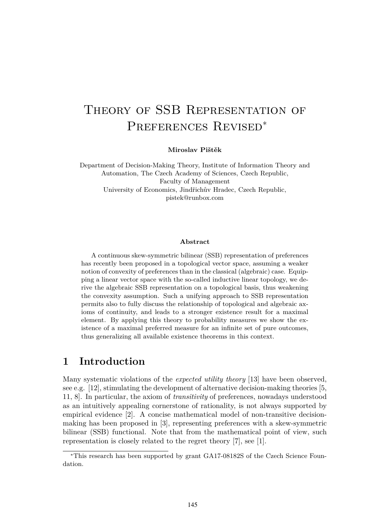# Theory of SSB Representation of Preferences Revised<sup>∗</sup>

**Miroslav Pištěk**

Department of Decision-Making Theory, Institute of Information Theory and Automation, The Czech Academy of Sciences, Czech Republic, Faculty of Management University of Economics, Jindřichův Hradec, Czech Republic, pistek@runbox.com

#### **Abstract**

A continuous skew-symmetric bilinear (SSB) representation of preferences has recently been proposed in a topological vector space, assuming a weaker notion of convexity of preferences than in the classical (algebraic) case. Equipping a linear vector space with the so-called inductive linear topology, we derive the algebraic SSB representation on a topological basis, thus weakening the convexity assumption. Such a unifying approach to SSB representation permits also to fully discuss the relationship of topological and algebraic axioms of continuity, and leads to a stronger existence result for a maximal element. By applying this theory to probability measures we show the existence of a maximal preferred measure for an infinite set of pure outcomes, thus generalizing all available existence theorems in this context.

## **1 Introduction**

Many systematic violations of the *expected utility theory* [13] have been observed, see e.g.  $[12]$ , stimulating the development of alternative decision-making theories [5, 11, 8]. In particular, the axiom of *transitivity* of preferences, nowadays understood as an intuitively appealing cornerstone of rationality, is not always supported by empirical evidence [2]. A concise mathematical model of non-transitive decisionmaking has been proposed in [3], representing preferences with a skew-symmetric bilinear (SSB) functional. Note that from the mathematical point of view, such representation is closely related to the regret theory [7], see [1].

<sup>∗</sup>This research has been supported by grant GA17-08182S of the Czech Science Foundation.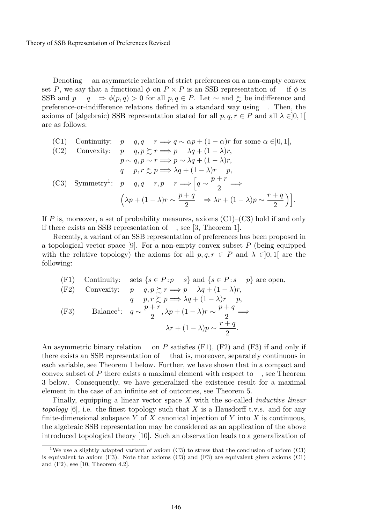Theory of SSB Representation of Preferences Revised

Denoting an asymmetric relation of strict preferences on a non-empty convex set P, we say that a functional  $\phi$  on  $P \times P$  is an SSB representation of if  $\phi$  is SSB and  $p \quad q \Rightarrow \phi(p, q) > 0$  for all  $p, q \in P$ . Let  $\sim$  and  $\succeq$  be indifference and  $q \Rightarrow \phi(p,q) > 0$  for all  $p, q \in P$ . Let  $\sim$  and  $\succeq$  be indifference and preference-or-indifference relations defined in a standard way using . Then, the axioms of (algebraic) SSB representation stated for all  $p, q, r \in P$  and all  $\lambda \in ]0,1[$ are as follows:

\n- (C1) Continuity: 
$$
p \quad q, q \quad r \Longrightarrow q \sim \alpha p + (1 - \alpha)r
$$
 for some  $\alpha \in ]0, 1[$ ,
\n- (C2) Convexity:  $p \quad q, p \succsim r \Longrightarrow p \quad \lambda q + (1 - \lambda)r$ ,
\n- $p \sim q, p \sim r \Longrightarrow p \sim \lambda q + (1 - \lambda)r$ ,
\n- $q \quad p, r \succsim p \Longrightarrow \lambda q + (1 - \lambda)r$ ,
\n- (C3) Symmetry<sup>1</sup>:  $p \quad q, q \quad r, p \quad r \Longrightarrow \left[ q \sim \frac{p+r}{2} \Longrightarrow \left( \lambda p + (1 - \lambda)r \sim \frac{p+q}{2} \right) \Rightarrow \lambda r + (1 - \lambda)p \sim \frac{r+q}{2} \right) \right].$
\n

If P is, moreover, a set of probability measures, axioms  $(C1)$ – $(C3)$  hold if and only if there exists an SSB representation of , see [3, Theorem 1].

Recently, a variant of an SSB representation of preferences has been proposed in a topological vector space [9]. For a non-empty convex subset  $P$  (being equipped with the relative topology) the axioms for all  $p, q, r \in P$  and  $\lambda \in ]0,1[$  are the following:

(F1) Continuity: sets 
$$
\{s \in P : p \text{ s}\}\
$$
 and  $\{s \in P : s \text{ p}\}\$  are open,  
\n(F2) Convexity:  $p q, p \succsim r \Longrightarrow p \lambda q + (1 - \lambda)r$ ,  
\n $q p, r \succsim p \Longrightarrow \lambda q + (1 - \lambda)r p$ ,  
\n(F3) Balance<sup>1</sup>:  $q \sim \frac{p+r}{2}, \lambda p + (1 - \lambda)r \sim \frac{p+q}{2} \Longrightarrow$   
\n $\lambda r + (1 - \lambda)p \sim \frac{r+q}{2}$ .

An asymmetric binary relation on  $P$  satisfies (F1), (F2) and (F3) if and only if there exists an SSB representation of that is, moreover, separately continuous in each variable, see Theorem 1 below. Further, we have shown that in a compact and convex subset of P there exists a maximal element with respect to , see Theorem 3 below. Consequently, we have generalized the existence result for a maximal element in the case of an infinite set of outcomes, see Theorem 5.

Finally, equipping a linear vector space X with the so-called *inductive linear topology* [6], i.e. the finest topology such that X is a Hausdorff t.v.s. and for any finite-dimensional subspace Y of X canonical injection of Y into X is continuous, the algebraic SSB representation may be considered as an application of the above introduced topological theory [10]. Such an observation leads to a generalization of

<sup>1</sup>We use a slightly adapted variant of axiom (C3) to stress that the conclusion of axiom (C3) is equivalent to axiom  $(F3)$ . Note that axioms  $(C3)$  and  $(F3)$  are equivalent given axioms  $(C1)$ and (F2), see [10, Theorem 4.2].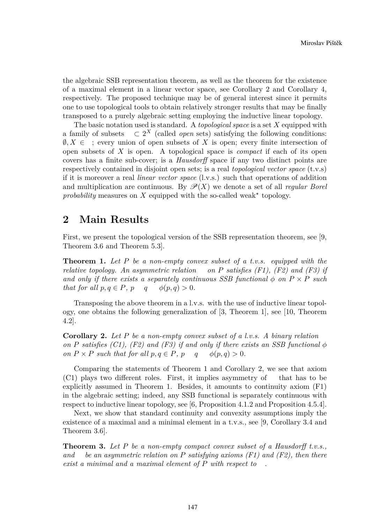the algebraic SSB representation theorem, as well as the theorem for the existence of a maximal element in a linear vector space, see Corollary 2 and Corollary 4, respectively. The proposed technique may be of general interest since it permits one to use topological tools to obtain relatively stronger results that may be finally transposed to a purely algebraic setting employing the inductive linear topology.

The basic notation used is standard. A *topological space* is a set X equipped with a family of subsets  $\subset 2^X$  (called *open* sets) satisfying the following conditions:  $\emptyset, X \in \mathcal{I}$ ; every union of open subsets of X is open; every finite intersection of open subsets of X is open. A topological space is *compact* if each of its open covers has a finite sub-cover; is a *Hausdorff* space if any two distinct points are respectively contained in disjoint open sets; is a real *topological vector space* (t.v.s) if it is moreover a real *linear vector space* (l.v.s.) such that operations of addition and multiplication are continuous. By  $\mathscr{P}(X)$  we denote a set of all *regular Borel* probability measures on  $X$  equipped with the so-called weak<sup>\*</sup> topology.

#### **2 Main Results**

First, we present the topological version of the SSB representation theorem, see [9, Theorem 3.6 and Theorem 5.3].

**Theorem 1.** *Let* P *be a non-empty convex subset of a t.v.s. equipped with the relative topology. An asymmetric relation on* P *satisfies (F1), (F2) and (F3) if and only if there exists a separately continuous SSB functional*  $\phi$  *on*  $P \times P$  *such* that for all  $p, q \in P$ ,  $p \quad q \quad \phi(p, q) > 0$ . *that for all*  $p, q \in P$ ,  $p \neq q$ .

Transposing the above theorem in a l.v.s. with the use of inductive linear topology, one obtains the following generalization of [3, Theorem 1], see [10, Theorem 4.2].

**Corollary 2.** *Let* P *be a non-empty convex subset of a l.v.s. A binary relation on* P satisfies (C1), (F2) and (F3) if and only if there exists an SSB functional  $\phi$ *on*  $P \times P$  *such that for all*  $p, q \in P$ ,  $p \neq \emptyset$   $(p, q) > 0$ *.* 

Comparing the statements of Theorem 1 and Corollary 2, we see that axiom (C1) plays two different roles. First, it implies asymmetry of that has to be explicitly assumed in Theorem 1. Besides, it amounts to continuity axiom (F1) in the algebraic setting; indeed, any SSB functional is separately continuous with respect to inductive linear topology, see [6, Proposition 4.1.2 and Proposition 4.5.4].

Next, we show that standard continuity and convexity assumptions imply the existence of a maximal and a minimal element in a t.v.s., see [9, Corollary 3.4 and Theorem 3.6].

**Theorem 3.** *Let* P *be a non-empty compact convex subset of a Hausdorff t.v.s., and be an asymmetric relation on* P *satisfying axioms (F1) and (F2), then there exist a minimal and a maximal element of* P *with respect to .*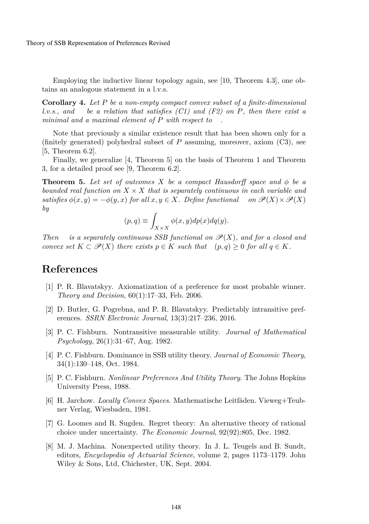Employing the inductive linear topology again, see [10, Theorem 4.3], one obtains an analogous statement in a l.v.s.

**Corollary 4.** *Let* P *be a non-empty compact convex subset of a finite-dimensional l.v.s., and be a relation that satisfies (C1) and (F2) on* P*, then there exist a minimal and a maximal element of* P *with respect to .*

Note that previously a similar existence result that has been shown only for a (finitely generated) polyhedral subset of  $P$  assuming, moreover, axiom (C3), see [5, Theorem 6.2].

Finally, we generalize [4, Theorem 5] on the basis of Theorem 1 and Theorem 3, for a detailed proof see [9, Theorem 6.2].

**Theorem 5.** Let set of outcomes X be a compact Hausdorff space and  $\phi$  be a *bounded real function on*  $X \times X$  *that is separately continuous in each variable and satisfies*  $\phi(x, y) = -\phi(y, x)$  *for all*  $x, y \in X$ *. Define functional on*  $\mathcal{P}(X) \times \mathcal{P}(X)$ *satisfies*  $\phi(x, y) = -\phi(y, x)$  *for all*  $x, y \in X$ *. Define functional by*

$$
(p,q) \equiv \int_{X \times X} \phi(x,y) dp(x) dq(y).
$$

*Then is a separately continuous SSB functional on*  $\mathscr{P}(X)$ *, and for a closed and convex set*  $K \subset \mathscr{P}(X)$  *there exists*  $p \in K$  *such that*  $(p, q) \geq 0$  *for all*  $q \in K$ *.* 

## **References**

- [1] P. R. Blavatskyy. Axiomatization of a preference for most probable winner. *Theory and Decision*, 60(1):17–33, Feb. 2006.
- [2] D. Butler, G. Pogrebna, and P. R. Blavatskyy. Predictably intransitive preferences. *SSRN Electronic Journal*, 13(3):217–236, 2016.
- [3] P. C. Fishburn. Nontransitive measurable utility. *Journal of Mathematical Psychology*, 26(1):31–67, Aug. 1982.
- [4] P. C. Fishburn. Dominance in SSB utility theory. *Journal of Economic Theory*, 34(1):130–148, Oct. 1984.
- [5] P. C. Fishburn. *Nonlinear Preferences And Utility Theory*. The Johns Hopkins University Press, 1988.
- [6] H. Jarchow. *Locally Convex Spaces*. Mathematische Leitfäden. Vieweg+Teubner Verlag, Wiesbaden, 1981.
- [7] G. Loomes and R. Sugden. Regret theory: An alternative theory of rational choice under uncertainty. *The Economic Journal*, 92(92):805, Dec. 1982.
- [8] M. J. Machina. Nonexpected utility theory. In J. L. Teugels and B. Sundt, editors, *Encyclopedia of Actuarial Science*, volume 2, pages 1173–1179. John Wiley & Sons, Ltd, Chichester, UK, Sept. 2004.